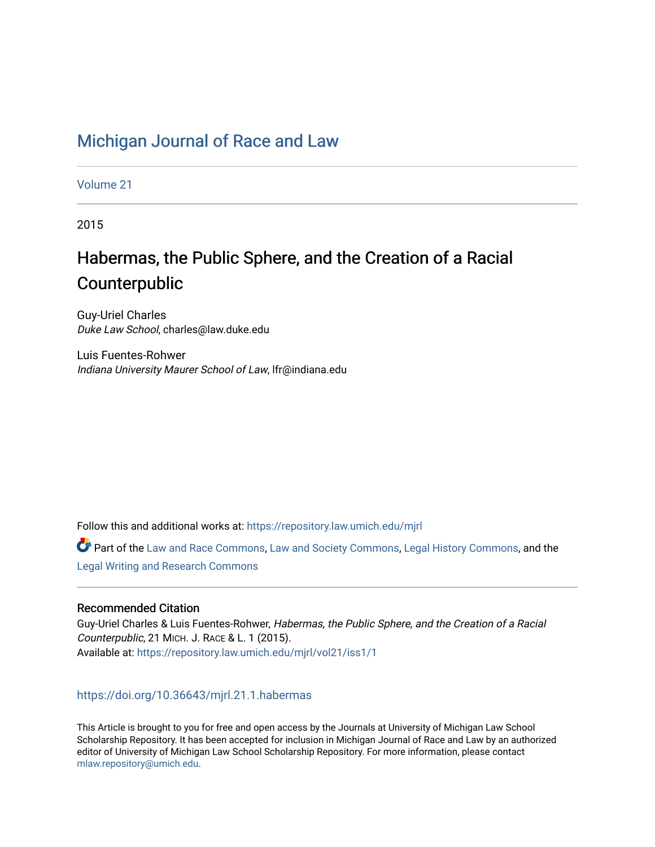## [Michigan Journal of Race and Law](https://repository.law.umich.edu/mjrl)

[Volume 21](https://repository.law.umich.edu/mjrl/vol21)

2015

# Habermas, the Public Sphere, and the Creation of a Racial Counterpublic

Guy-Uriel Charles Duke Law School, charles@law.duke.edu

Luis Fuentes-Rohwer Indiana University Maurer School of Law, lfr@indiana.edu

Follow this and additional works at: [https://repository.law.umich.edu/mjrl](https://repository.law.umich.edu/mjrl?utm_source=repository.law.umich.edu%2Fmjrl%2Fvol21%2Fiss1%2F1&utm_medium=PDF&utm_campaign=PDFCoverPages) 

Part of the [Law and Race Commons,](http://network.bepress.com/hgg/discipline/1300?utm_source=repository.law.umich.edu%2Fmjrl%2Fvol21%2Fiss1%2F1&utm_medium=PDF&utm_campaign=PDFCoverPages) [Law and Society Commons](http://network.bepress.com/hgg/discipline/853?utm_source=repository.law.umich.edu%2Fmjrl%2Fvol21%2Fiss1%2F1&utm_medium=PDF&utm_campaign=PDFCoverPages), [Legal History Commons,](http://network.bepress.com/hgg/discipline/904?utm_source=repository.law.umich.edu%2Fmjrl%2Fvol21%2Fiss1%2F1&utm_medium=PDF&utm_campaign=PDFCoverPages) and the [Legal Writing and Research Commons](http://network.bepress.com/hgg/discipline/614?utm_source=repository.law.umich.edu%2Fmjrl%2Fvol21%2Fiss1%2F1&utm_medium=PDF&utm_campaign=PDFCoverPages) 

## Recommended Citation

Guy-Uriel Charles & Luis Fuentes-Rohwer, Habermas, the Public Sphere, and the Creation of a Racial Counterpublic, 21 MICH. J. RACE & L. 1 (2015). Available at: [https://repository.law.umich.edu/mjrl/vol21/iss1/1](https://repository.law.umich.edu/mjrl/vol21/iss1/1?utm_source=repository.law.umich.edu%2Fmjrl%2Fvol21%2Fiss1%2F1&utm_medium=PDF&utm_campaign=PDFCoverPages) 

## <https://doi.org/10.36643/mjrl.21.1.habermas>

This Article is brought to you for free and open access by the Journals at University of Michigan Law School Scholarship Repository. It has been accepted for inclusion in Michigan Journal of Race and Law by an authorized editor of University of Michigan Law School Scholarship Repository. For more information, please contact [mlaw.repository@umich.edu.](mailto:mlaw.repository@umich.edu)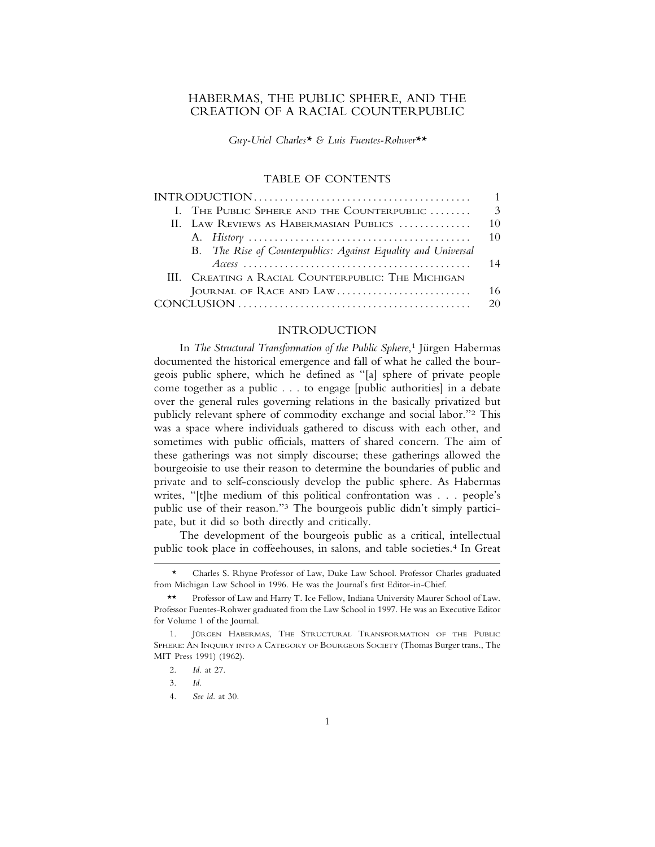## HABERMAS, THE PUBLIC SPHERE, AND THE CREATION OF A RACIAL COUNTERPUBLIC

*Guy-Uriel Charles\* & Luis Fuentes-Rohwer\*\**

#### TABLE OF CONTENTS

|                                                                                                                      | $\mathbf{1}$  |
|----------------------------------------------------------------------------------------------------------------------|---------------|
| I. THE PUBLIC SPHERE AND THE COUNTERPUBLIC                                                                           | $\mathcal{E}$ |
| II. LAW REVIEWS AS HABERMASIAN PUBLICS                                                                               | 10            |
|                                                                                                                      | 10            |
| B. The Rise of Counterpublics: Against Equality and Universal                                                        |               |
| $Access \dots \dots \dots \dots \dots \dots \dots \dots \dots \dots \dots \dots \dots \dots \dots \dots \dots \dots$ | 14            |
| III. CREATING A RACIAL COUNTERPUBLIC: THE MICHIGAN                                                                   |               |
| JOURNAL OF RACE AND LAW                                                                                              | 16            |
|                                                                                                                      | 20            |
|                                                                                                                      |               |

## INTRODUCTION

In *The Structural Transformation of the Public Sphere*,<sup>1</sup> Jürgen Habermas documented the historical emergence and fall of what he called the bourgeois public sphere, which he defined as "[a] sphere of private people come together as a public . . . to engage [public authorities] in a debate over the general rules governing relations in the basically privatized but publicly relevant sphere of commodity exchange and social labor."2 This was a space where individuals gathered to discuss with each other, and sometimes with public officials, matters of shared concern. The aim of these gatherings was not simply discourse; these gatherings allowed the bourgeoisie to use their reason to determine the boundaries of public and private and to self-consciously develop the public sphere. As Habermas writes, "[t]he medium of this political confrontation was . . . people's public use of their reason."3 The bourgeois public didn't simply participate, but it did so both directly and critically.

The development of the bourgeois public as a critical, intellectual public took place in coffeehouses, in salons, and table societies.4 In Great

<sup>\*</sup> Charles S. Rhyne Professor of Law, Duke Law School. Professor Charles graduated from Michigan Law School in 1996. He was the Journal's first Editor-in-Chief.

<sup>\*\*</sup> Professor of Law and Harry T. Ice Fellow, Indiana University Maurer School of Law. Professor Fuentes-Rohwer graduated from the Law School in 1997. He was an Executive Editor for Volume 1 of the Journal.

<sup>1.</sup> JÜRGEN HABERMAS, THE STRUCTURAL TRANSFORMATION OF THE PUBLIC SPHERE: AN INQUIRY INTO A CATEGORY OF BOURGEOIS SOCIETY (Thomas Burger trans., The MIT Press 1991) (1962).

<sup>2.</sup> *Id*. at 27.

<sup>3.</sup> *Id*.

<sup>4.</sup> *See id*. at 30.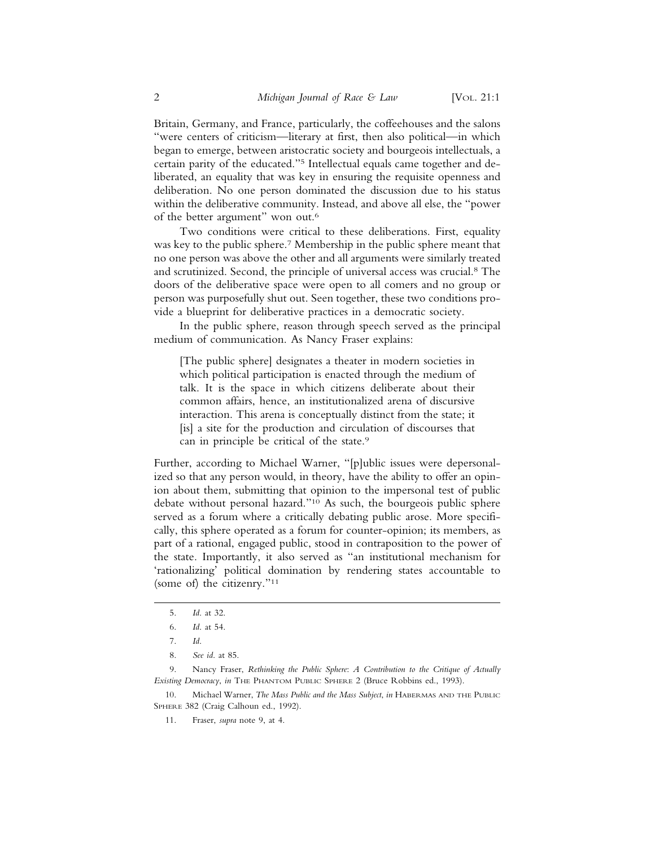Britain, Germany, and France, particularly, the coffeehouses and the salons "were centers of criticism—literary at first, then also political—in which began to emerge, between aristocratic society and bourgeois intellectuals, a certain parity of the educated."5 Intellectual equals came together and deliberated, an equality that was key in ensuring the requisite openness and deliberation. No one person dominated the discussion due to his status within the deliberative community. Instead, and above all else, the "power of the better argument" won out.6

Two conditions were critical to these deliberations. First, equality was key to the public sphere.7 Membership in the public sphere meant that no one person was above the other and all arguments were similarly treated and scrutinized. Second, the principle of universal access was crucial.8 The doors of the deliberative space were open to all comers and no group or person was purposefully shut out. Seen together, these two conditions provide a blueprint for deliberative practices in a democratic society.

In the public sphere, reason through speech served as the principal medium of communication. As Nancy Fraser explains:

[The public sphere] designates a theater in modern societies in which political participation is enacted through the medium of talk. It is the space in which citizens deliberate about their common affairs, hence, an institutionalized arena of discursive interaction. This arena is conceptually distinct from the state; it [is] a site for the production and circulation of discourses that can in principle be critical of the state.<sup>9</sup>

Further, according to Michael Warner, "[p]ublic issues were depersonalized so that any person would, in theory, have the ability to offer an opinion about them, submitting that opinion to the impersonal test of public debate without personal hazard."10 As such, the bourgeois public sphere served as a forum where a critically debating public arose. More specifically, this sphere operated as a forum for counter-opinion; its members, as part of a rational, engaged public, stood in contraposition to the power of the state. Importantly, it also served as "an institutional mechanism for 'rationalizing' political domination by rendering states accountable to (some of) the citizenry."11

10. Michael Warner, *The Mass Public and the Mass Subject*, *in* HABERMAS AND THE PUBLIC SPHERE 382 (Craig Calhoun ed., 1992).

11. Fraser, *supra* note 9, at 4.

<sup>5.</sup> *Id*. at 32.

<sup>6.</sup> *Id*. at 54.

<sup>7.</sup> *Id*.

<sup>8.</sup> *See id*. at 85.

<sup>9.</sup> Nancy Fraser, *Rethinking the Public Sphere*: *A Contribution to the Critique of Actually Existing Democracy*, *in* THE PHANTOM PUBLIC SPHERE 2 (Bruce Robbins ed., 1993).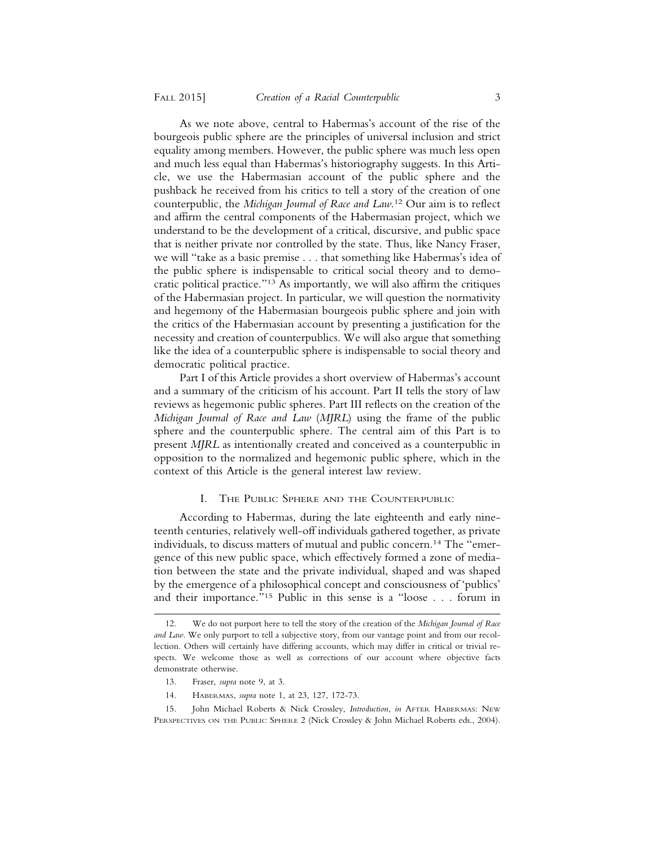As we note above, central to Habermas's account of the rise of the bourgeois public sphere are the principles of universal inclusion and strict equality among members. However, the public sphere was much less open and much less equal than Habermas's historiography suggests. In this Article, we use the Habermasian account of the public sphere and the pushback he received from his critics to tell a story of the creation of one counterpublic, the *Michigan Journal of Race and Law*. 12 Our aim is to reflect and affirm the central components of the Habermasian project, which we understand to be the development of a critical, discursive, and public space that is neither private nor controlled by the state. Thus, like Nancy Fraser, we will "take as a basic premise . . . that something like Habermas's idea of the public sphere is indispensable to critical social theory and to democratic political practice."13 As importantly, we will also affirm the critiques of the Habermasian project. In particular, we will question the normativity and hegemony of the Habermasian bourgeois public sphere and join with the critics of the Habermasian account by presenting a justification for the necessity and creation of counterpublics. We will also argue that something like the idea of a counterpublic sphere is indispensable to social theory and democratic political practice.

Part I of this Article provides a short overview of Habermas's account and a summary of the criticism of his account. Part II tells the story of law reviews as hegemonic public spheres. Part III reflects on the creation of the *Michigan Journal of Race and Law* (*MJRL*) using the frame of the public sphere and the counterpublic sphere. The central aim of this Part is to present *MJRL* as intentionally created and conceived as a counterpublic in opposition to the normalized and hegemonic public sphere, which in the context of this Article is the general interest law review.

#### I. THE PUBLIC SPHERE AND THE COUNTERPUBLIC

According to Habermas, during the late eighteenth and early nineteenth centuries, relatively well-off individuals gathered together, as private individuals, to discuss matters of mutual and public concern.14 The "emergence of this new public space, which effectively formed a zone of mediation between the state and the private individual, shaped and was shaped by the emergence of a philosophical concept and consciousness of 'publics' and their importance."15 Public in this sense is a "loose . . . forum in

<sup>12.</sup> We do not purport here to tell the story of the creation of the *Michigan Journal of Race and Law*. We only purport to tell a subjective story, from our vantage point and from our recollection. Others will certainly have differing accounts, which may differ in critical or trivial respects. We welcome those as well as corrections of our account where objective facts demonstrate otherwise.

<sup>13.</sup> Fraser, *supra* note 9, at 3.

<sup>14.</sup> HABERMAS, *supra* note 1, at 23, 127, 172-73.

<sup>15.</sup> John Michael Roberts & Nick Crossley, *Introduction*, *in* AFTER HABERMAS: NEW PERSPECTIVES ON THE PUBLIC SPHERE 2 (Nick Crossley & John Michael Roberts eds., 2004).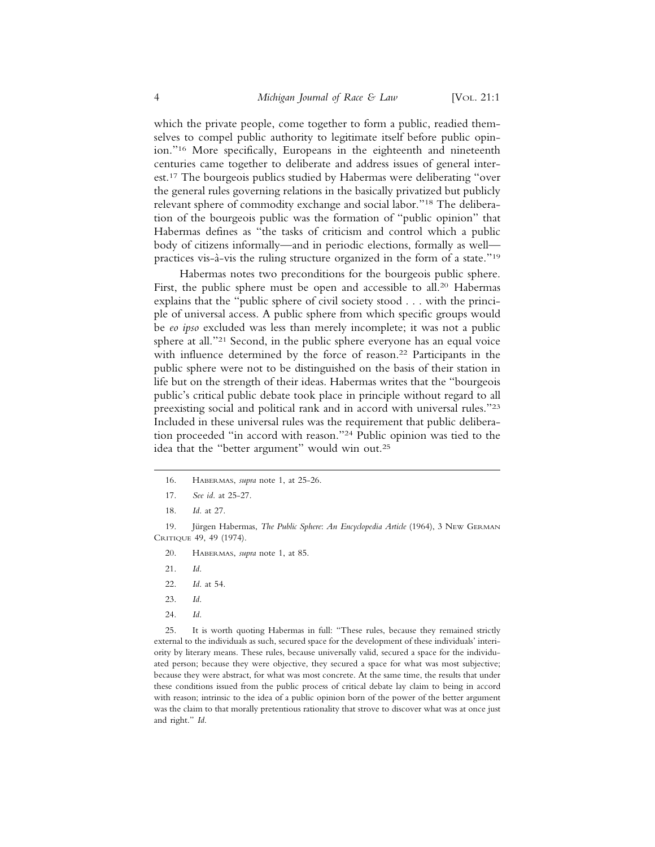which the private people, come together to form a public, readied themselves to compel public authority to legitimate itself before public opinion."16 More specifically, Europeans in the eighteenth and nineteenth centuries came together to deliberate and address issues of general interest.17 The bourgeois publics studied by Habermas were deliberating "over the general rules governing relations in the basically privatized but publicly relevant sphere of commodity exchange and social labor."18 The deliberation of the bourgeois public was the formation of "public opinion" that Habermas defines as "the tasks of criticism and control which a public body of citizens informally—and in periodic elections, formally as well practices vis-à-vis the ruling structure organized in the form of a state."<sup>19</sup>

Habermas notes two preconditions for the bourgeois public sphere. First, the public sphere must be open and accessible to all.<sup>20</sup> Habermas explains that the "public sphere of civil society stood . . . with the principle of universal access. A public sphere from which specific groups would be *eo ipso* excluded was less than merely incomplete; it was not a public sphere at all."21 Second, in the public sphere everyone has an equal voice with influence determined by the force of reason.<sup>22</sup> Participants in the public sphere were not to be distinguished on the basis of their station in life but on the strength of their ideas. Habermas writes that the "bourgeois public's critical public debate took place in principle without regard to all preexisting social and political rank and in accord with universal rules."23 Included in these universal rules was the requirement that public deliberation proceeded "in accord with reason."24 Public opinion was tied to the idea that the "better argument" would win out.25

- 16. HABERMAS, *supra* note 1, at 25-26.
- 17. *See id*. at 25-27.
- 18. *Id*. at 27.

- 20. HABERMAS, *supra* note 1, at 85.
- 21. *Id*.
- 22. *Id*. at 54.
- 23. *Id*.
- 24. *Id*.

25. It is worth quoting Habermas in full: "These rules, because they remained strictly external to the individuals as such, secured space for the development of these individuals' interiority by literary means. These rules, because universally valid, secured a space for the individuated person; because they were objective, they secured a space for what was most subjective; because they were abstract, for what was most concrete. At the same time, the results that under these conditions issued from the public process of critical debate lay claim to being in accord with reason; intrinsic to the idea of a public opinion born of the power of the better argument was the claim to that morally pretentious rationality that strove to discover what was at once just and right." *Id*.

<sup>19.</sup> Jürgen Habermas, *The Public Sphere: An Encyclopedia Article* (1964), 3 NEW GERMAN CRITIQUE 49, 49 (1974).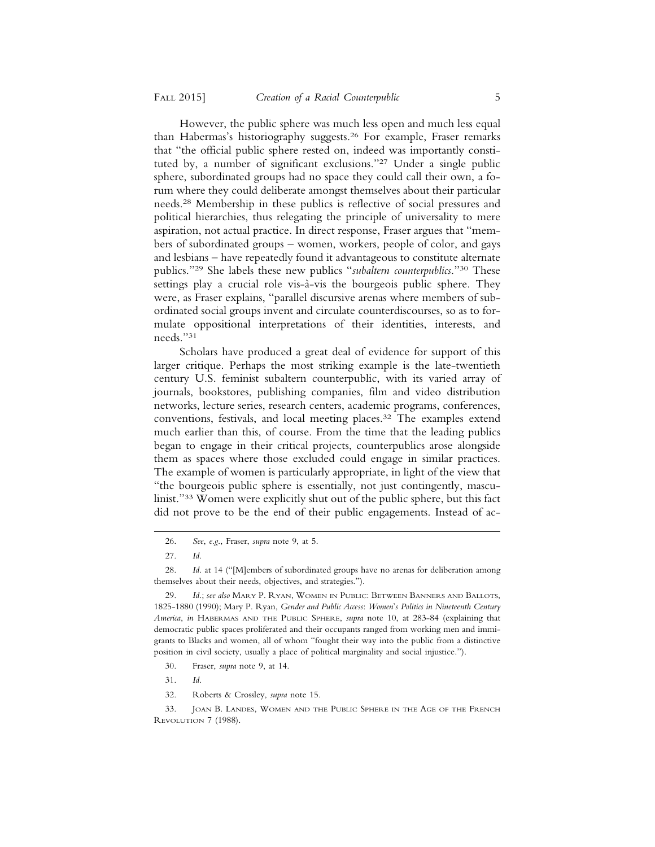However, the public sphere was much less open and much less equal than Habermas's historiography suggests.26 For example, Fraser remarks that "the official public sphere rested on, indeed was importantly constituted by, a number of significant exclusions."27 Under a single public sphere, subordinated groups had no space they could call their own, a forum where they could deliberate amongst themselves about their particular needs.28 Membership in these publics is reflective of social pressures and political hierarchies, thus relegating the principle of universality to mere aspiration, not actual practice. In direct response, Fraser argues that "members of subordinated groups – women, workers, people of color, and gays and lesbians – have repeatedly found it advantageous to constitute alternate publics."29 She labels these new publics "*subaltern counterpublics*."30 These settings play a crucial role vis- $\hat{a}$ -vis the bourgeois public sphere. They were, as Fraser explains, "parallel discursive arenas where members of subordinated social groups invent and circulate counterdiscourses, so as to formulate oppositional interpretations of their identities, interests, and needs."31

Scholars have produced a great deal of evidence for support of this larger critique. Perhaps the most striking example is the late-twentieth century U.S. feminist subaltern counterpublic, with its varied array of journals, bookstores, publishing companies, film and video distribution networks, lecture series, research centers, academic programs, conferences, conventions, festivals, and local meeting places.32 The examples extend much earlier than this, of course. From the time that the leading publics began to engage in their critical projects, counterpublics arose alongside them as spaces where those excluded could engage in similar practices. The example of women is particularly appropriate, in light of the view that "the bourgeois public sphere is essentially, not just contingently, masculinist."33 Women were explicitly shut out of the public sphere, but this fact did not prove to be the end of their public engagements. Instead of ac-

- 30. Fraser, *supra* note 9, at 14.
- 31. *Id*.
- 32. Roberts & Crossley, *supra* note 15.

<sup>26.</sup> *See*, *e*.*g*., Fraser, *supra* note 9, at 5.

<sup>27.</sup> *Id*.

<sup>28.</sup> *Id*. at 14 ("[M]embers of subordinated groups have no arenas for deliberation among themselves about their needs, objectives, and strategies.").

<sup>29.</sup> *Id*.; *see also* MARY P. RYAN, WOMEN IN PUBLIC: BETWEEN BANNERS AND BALLOTS, 1825-1880 (1990); Mary P. Ryan, *Gender and Public Access*: *Women*'*s Politics in Nineteenth Century America*, *in* HABERMAS AND THE PUBLIC SPHERE, *supra* note 10, at 283-84 (explaining that democratic public spaces proliferated and their occupants ranged from working men and immigrants to Blacks and women, all of whom "fought their way into the public from a distinctive position in civil society, usually a place of political marginality and social injustice.").

<sup>33.</sup> JOAN B. LANDES, WOMEN AND THE PUBLIC SPHERE IN THE AGE OF THE FRENCH REVOLUTION 7 (1988).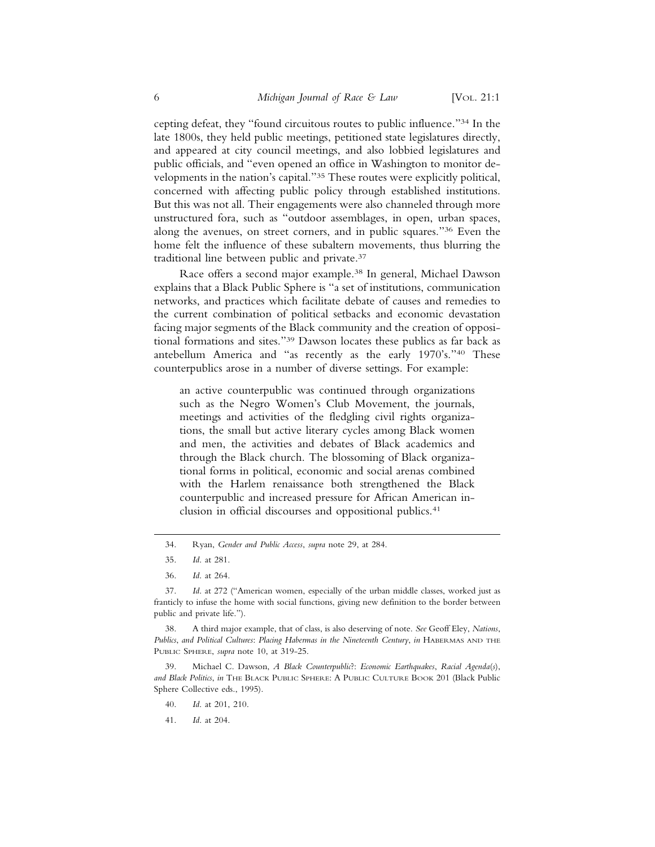cepting defeat, they "found circuitous routes to public influence."34 In the late 1800s, they held public meetings, petitioned state legislatures directly, and appeared at city council meetings, and also lobbied legislatures and public officials, and "even opened an office in Washington to monitor developments in the nation's capital."35 These routes were explicitly political, concerned with affecting public policy through established institutions. But this was not all. Their engagements were also channeled through more unstructured fora, such as "outdoor assemblages, in open, urban spaces, along the avenues, on street corners, and in public squares."36 Even the home felt the influence of these subaltern movements, thus blurring the traditional line between public and private.37

Race offers a second major example.38 In general, Michael Dawson explains that a Black Public Sphere is "a set of institutions, communication networks, and practices which facilitate debate of causes and remedies to the current combination of political setbacks and economic devastation facing major segments of the Black community and the creation of oppositional formations and sites."39 Dawson locates these publics as far back as antebellum America and "as recently as the early 1970's."40 These counterpublics arose in a number of diverse settings. For example:

an active counterpublic was continued through organizations such as the Negro Women's Club Movement, the journals, meetings and activities of the fledgling civil rights organizations, the small but active literary cycles among Black women and men, the activities and debates of Black academics and through the Black church. The blossoming of Black organizational forms in political, economic and social arenas combined with the Harlem renaissance both strengthened the Black counterpublic and increased pressure for African American inclusion in official discourses and oppositional publics.<sup>41</sup>

38. A third major example, that of class, is also deserving of note. *See* Geoff Eley, *Nations*, *Publics*, *and Political Cultures*: *Placing Habermas in the Nineteenth Century*, *in* HABERMAS AND THE PUBLIC SPHERE, *supra* note 10, at 319-25.

39. Michael C. Dawson, *A Black Counterpublic*?: *Economic Earthquakes*, *Racial Agenda*(*s*), *and Black Politics*, *in* THE BLACK PUBLIC SPHERE: A PUBLIC CULTURE BOOK 201 (Black Public Sphere Collective eds., 1995).

- 40. *Id*. at 201, 210.
- 41. *Id*. at 204.

<sup>34.</sup> Ryan, *Gender and Public Access*, *supra* note 29, at 284.

<sup>35.</sup> *Id*. at 281.

<sup>36.</sup> *Id*. at 264.

<sup>37.</sup> *Id*. at 272 ("American women, especially of the urban middle classes, worked just as franticly to infuse the home with social functions, giving new definition to the border between public and private life.").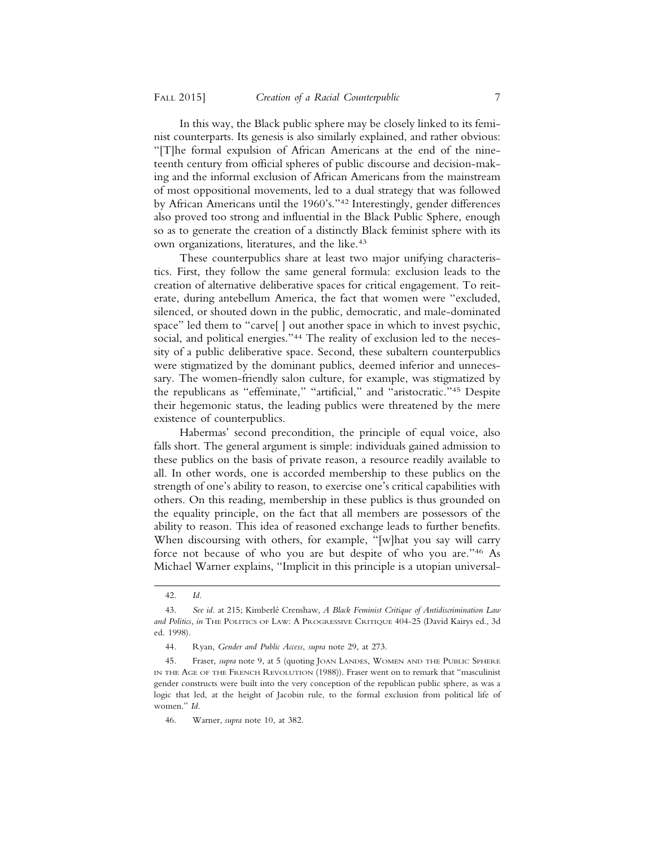In this way, the Black public sphere may be closely linked to its feminist counterparts. Its genesis is also similarly explained, and rather obvious: "[T]he formal expulsion of African Americans at the end of the nineteenth century from official spheres of public discourse and decision-making and the informal exclusion of African Americans from the mainstream of most oppositional movements, led to a dual strategy that was followed by African Americans until the 1960's."42 Interestingly, gender differences also proved too strong and influential in the Black Public Sphere, enough so as to generate the creation of a distinctly Black feminist sphere with its own organizations, literatures, and the like.<sup>43</sup>

These counterpublics share at least two major unifying characteristics. First, they follow the same general formula: exclusion leads to the creation of alternative deliberative spaces for critical engagement. To reiterate, during antebellum America, the fact that women were "excluded, silenced, or shouted down in the public, democratic, and male-dominated space" led them to "carve[ ] out another space in which to invest psychic, social, and political energies."44 The reality of exclusion led to the necessity of a public deliberative space. Second, these subaltern counterpublics were stigmatized by the dominant publics, deemed inferior and unnecessary. The women-friendly salon culture, for example, was stigmatized by the republicans as "effeminate," "artificial," and "aristocratic."45 Despite their hegemonic status, the leading publics were threatened by the mere existence of counterpublics.

Habermas' second precondition, the principle of equal voice, also falls short. The general argument is simple: individuals gained admission to these publics on the basis of private reason, a resource readily available to all. In other words, one is accorded membership to these publics on the strength of one's ability to reason, to exercise one's critical capabilities with others. On this reading, membership in these publics is thus grounded on the equality principle, on the fact that all members are possessors of the ability to reason. This idea of reasoned exchange leads to further benefits. When discoursing with others, for example, "[w]hat you say will carry force not because of who you are but despite of who you are."46 As Michael Warner explains, "Implicit in this principle is a utopian universal-

<sup>42.</sup> *Id*.

<sup>43.</sup> *See id*. at 215; Kimberl´e Crenshaw, *A Black Feminist Critique of Antidiscrimination Law and Politics*, *in* THE POLITICS OF LAW: A PROGRESSIVE CRITIQUE 404-25 (David Kairys ed., 3d ed. 1998).

<sup>44.</sup> Ryan, *Gender and Public Access*, *supra* note 29, at 273.

<sup>45.</sup> Fraser, *supra* note 9, at 5 (quoting JOAN LANDES, WOMEN AND THE PUBLIC SPHERE IN THE AGE OF THE FRENCH REVOLUTION (1988)). Fraser went on to remark that "masculinist gender constructs were built into the very conception of the republican public sphere, as was a logic that led, at the height of Jacobin rule, to the formal exclusion from political life of women." *Id*.

<sup>46.</sup> Warner, *supra* note 10, at 382.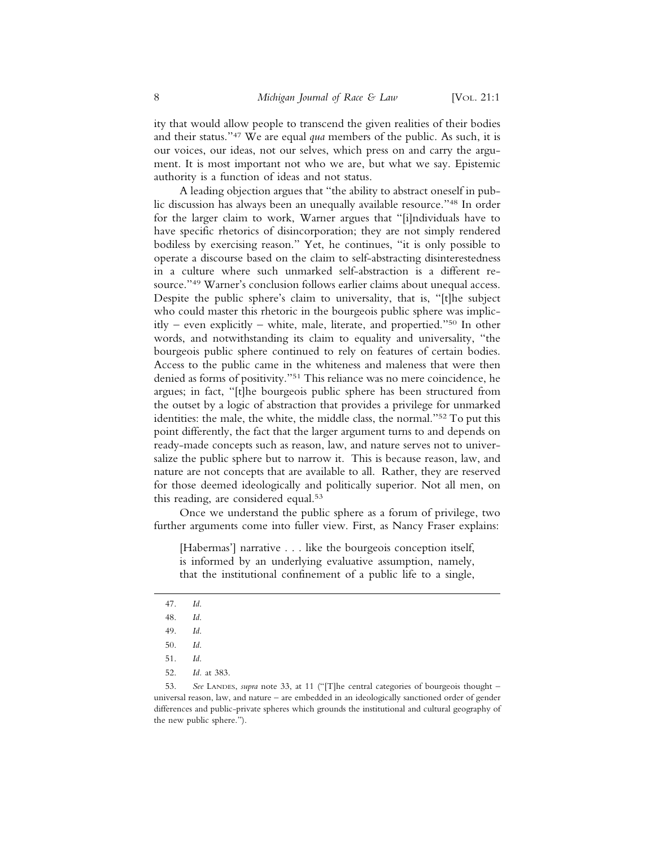ity that would allow people to transcend the given realities of their bodies and their status."47 We are equal *qua* members of the public. As such, it is our voices, our ideas, not our selves, which press on and carry the argument. It is most important not who we are, but what we say. Epistemic authority is a function of ideas and not status.

A leading objection argues that "the ability to abstract oneself in public discussion has always been an unequally available resource."48 In order for the larger claim to work, Warner argues that "[i]ndividuals have to have specific rhetorics of disincorporation; they are not simply rendered bodiless by exercising reason." Yet, he continues, "it is only possible to operate a discourse based on the claim to self-abstracting disinterestedness in a culture where such unmarked self-abstraction is a different resource."49 Warner's conclusion follows earlier claims about unequal access. Despite the public sphere's claim to universality, that is, "[t]he subject who could master this rhetoric in the bourgeois public sphere was implicitly – even explicitly – white, male, literate, and propertied."50 In other words, and notwithstanding its claim to equality and universality, "the bourgeois public sphere continued to rely on features of certain bodies. Access to the public came in the whiteness and maleness that were then denied as forms of positivity."51 This reliance was no mere coincidence, he argues; in fact, "[t]he bourgeois public sphere has been structured from the outset by a logic of abstraction that provides a privilege for unmarked identities: the male, the white, the middle class, the normal."52 To put this point differently, the fact that the larger argument turns to and depends on ready-made concepts such as reason, law, and nature serves not to universalize the public sphere but to narrow it. This is because reason, law, and nature are not concepts that are available to all. Rather, they are reserved for those deemed ideologically and politically superior. Not all men, on this reading, are considered equal.<sup>53</sup>

Once we understand the public sphere as a forum of privilege, two further arguments come into fuller view. First, as Nancy Fraser explains:

[Habermas'] narrative . . . like the bourgeois conception itself, is informed by an underlying evaluative assumption, namely, that the institutional confinement of a public life to a single,

- 47. *Id*.
- 48. *Id*.
- 49. *Id*.
- 50. *Id*.
- 51. *Id*.
- 52. *Id.* at 383.

<sup>53.</sup> *See* LANDES, *supra* note 33, at 11 ("[T]he central categories of bourgeois thought – universal reason, law, and nature – are embedded in an ideologically sanctioned order of gender differences and public-private spheres which grounds the institutional and cultural geography of the new public sphere.").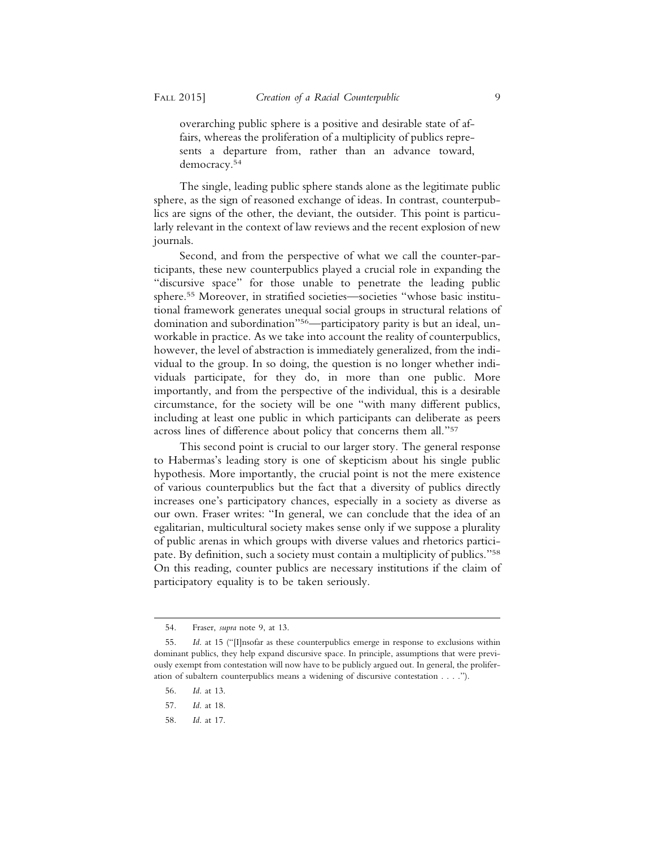overarching public sphere is a positive and desirable state of affairs, whereas the proliferation of a multiplicity of publics represents a departure from, rather than an advance toward, democracy.54

The single, leading public sphere stands alone as the legitimate public sphere, as the sign of reasoned exchange of ideas. In contrast, counterpublics are signs of the other, the deviant, the outsider. This point is particularly relevant in the context of law reviews and the recent explosion of new journals.

Second, and from the perspective of what we call the counter-participants, these new counterpublics played a crucial role in expanding the "discursive space" for those unable to penetrate the leading public sphere.55 Moreover, in stratified societies—societies "whose basic institutional framework generates unequal social groups in structural relations of domination and subordination"56—participatory parity is but an ideal, unworkable in practice. As we take into account the reality of counterpublics, however, the level of abstraction is immediately generalized, from the individual to the group. In so doing, the question is no longer whether individuals participate, for they do, in more than one public. More importantly, and from the perspective of the individual, this is a desirable circumstance, for the society will be one "with many different publics, including at least one public in which participants can deliberate as peers across lines of difference about policy that concerns them all."57

This second point is crucial to our larger story. The general response to Habermas's leading story is one of skepticism about his single public hypothesis. More importantly, the crucial point is not the mere existence of various counterpublics but the fact that a diversity of publics directly increases one's participatory chances, especially in a society as diverse as our own. Fraser writes: "In general, we can conclude that the idea of an egalitarian, multicultural society makes sense only if we suppose a plurality of public arenas in which groups with diverse values and rhetorics participate. By definition, such a society must contain a multiplicity of publics."58 On this reading, counter publics are necessary institutions if the claim of participatory equality is to be taken seriously.

- 56. *Id*. at 13.
- 57. *Id*. at 18.
- 58. *Id*. at 17.

<sup>54.</sup> Fraser, *supra* note 9, at 13.

<sup>55.</sup> *Id*. at 15 ("[I]nsofar as these counterpublics emerge in response to exclusions within dominant publics, they help expand discursive space. In principle, assumptions that were previously exempt from contestation will now have to be publicly argued out. In general, the proliferation of subaltern counterpublics means a widening of discursive contestation . . . .").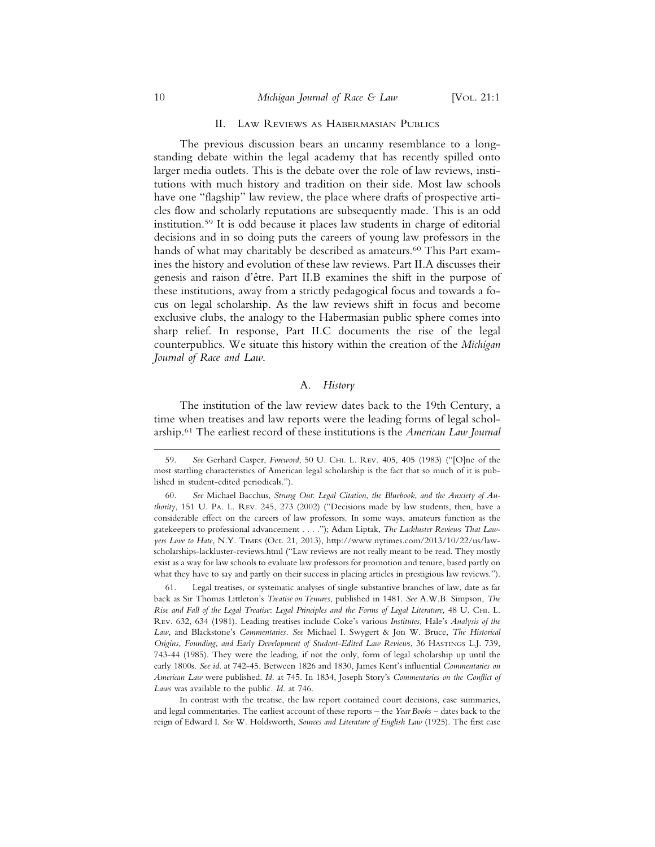#### 10 *Michigan Journal of Race & Law* [VOL. 21:1]

#### II. LAW REVIEWS AS HABERMASIAN PUBLICS

The previous discussion bears an uncanny resemblance to a longstanding debate within the legal academy that has recently spilled onto larger media outlets. This is the debate over the role of law reviews, institutions with much history and tradition on their side. Most law schools have one "flagship" law review, the place where drafts of prospective articles flow and scholarly reputations are subsequently made. This is an odd institution.59 It is odd because it places law students in charge of editorial decisions and in so doing puts the careers of young law professors in the hands of what may charitably be described as amateurs.<sup>60</sup> This Part examines the history and evolution of these law reviews. Part II.A discusses their genesis and raison d'être. Part II.B examines the shift in the purpose of these institutions, away from a strictly pedagogical focus and towards a focus on legal scholarship. As the law reviews shift in focus and become exclusive clubs, the analogy to the Habermasian public sphere comes into sharp relief. In response, Part II.C documents the rise of the legal counterpublics. We situate this history within the creation of the *Michigan Journal of Race and Law*.

#### A. *History*

The institution of the law review dates back to the 19th Century, a time when treatises and law reports were the leading forms of legal scholarship.61 The earliest record of these institutions is the *American Law Journal*

<sup>59.</sup> *See* Gerhard Casper, *Foreword*, 50 U. CHI. L. REV. 405, 405 (1983) ("[O]ne of the most startling characteristics of American legal scholarship is the fact that so much of it is published in student-edited periodicals.").

<sup>60.</sup> *See* Michael Bacchus, *Strung Out*: *Legal Citation*, *the Bluebook*, *and the Anxiety of Authority*, 151 U. PA. L. REV. 245, 273 (2002) ("Decisions made by law students, then, have a considerable effect on the careers of law professors. In some ways, amateurs function as the gatekeepers to professional advancement . . . ."); Adam Liptak, *The Lackluster Reviews That Lawyers Love to Hate*, N.Y. TIMES (Oct. 21, 2013), http://www.nytimes.com/2013/10/22/us/lawscholarships-lackluster-reviews.html ("Law reviews are not really meant to be read. They mostly exist as a way for law schools to evaluate law professors for promotion and tenure, based partly on what they have to say and partly on their success in placing articles in prestigious law reviews.").

<sup>61.</sup> Legal treatises, or systematic analyses of single substantive branches of law, date as far back as Sir Thomas Littleton's *Treatise on Tenures*, published in 1481. *See* A.W.B. Simpson, *The Rise and Fall of the Legal Treatise*: *Legal Principles and the Forms of Legal Literature*, 48 U. CHI. L. REV. 632, 634 (1981). Leading treatises include Coke's various *Institutes*, Hale's *Analysis of the Law*, and Blackstone's *Commentaries*. *See* Michael I. Swygert & Jon W. Bruce, *The Historical Origins*, *Founding*, *and Early Development of Student*-*Edited Law Reviews*, 36 HASTINGS L.J. 739, 743-44 (1985). They were the leading, if not the only, form of legal scholarship up until the early 1800s. *See id*. at 742-45. Between 1826 and 1830, James Kent's influential *Commentaries on American Law* were published. *Id*. at 745. In 1834, Joseph Story's *Commentaries on the Conflict of Laws* was available to the public. *Id*. at 746.

In contrast with the treatise, the law report contained court decisions, case summaries, and legal commentaries. The earliest account of these reports – the *Year Books* – dates back to the reign of Edward I. *See* W. Holdsworth, *Sources and Literature of English Law* (1925). The first case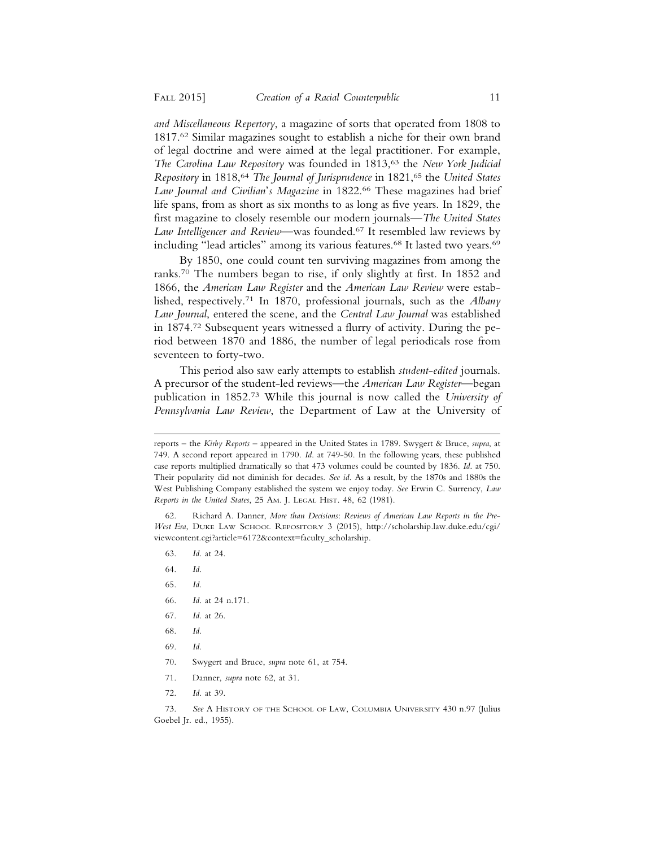*and Miscellaneous Repertory*, a magazine of sorts that operated from 1808 to 1817.62 Similar magazines sought to establish a niche for their own brand of legal doctrine and were aimed at the legal practitioner. For example, *The Carolina Law Repository* was founded in 1813,<sup>63</sup> the *New York Judicial Repository* in 1818,64 *The Journal of Jurisprudence* in 1821,65 the *United States Law Journal and Civilian*'*s Magazine* in 1822.66 These magazines had brief life spans, from as short as six months to as long as five years. In 1829, the first magazine to closely resemble our modern journals—*The United States Law Intelligencer and Review*—was founded.67 It resembled law reviews by including "lead articles" among its various features.<sup>68</sup> It lasted two years.<sup>69</sup>

By 1850, one could count ten surviving magazines from among the ranks.70 The numbers began to rise, if only slightly at first. In 1852 and 1866, the *American Law Register* and the *American Law Review* were established, respectively.71 In 1870, professional journals, such as the *Albany Law Journal*, entered the scene, and the *Central Law Journal* was established in 1874.72 Subsequent years witnessed a flurry of activity. During the period between 1870 and 1886, the number of legal periodicals rose from seventeen to forty-two.

This period also saw early attempts to establish *student*-*edited* journals. A precursor of the student-led reviews—the *American Law Register*—began publication in 1852.73 While this journal is now called the *University of Pennsylvania Law Review*, the Department of Law at the University of

62. Richard A. Danner, *More than Decisions*: *Reviews of American Law Reports in the Pre*-*West Era*, DUKE LAW SCHOOL REPOSITORY 3 (2015), http://scholarship.law.duke.edu/cgi/ viewcontent.cgi?article=6172&context=faculty\_scholarship.

- 63. *Id*. at 24.
- 64. *Id*.
- 65. *Id*.
- 66. *Id*. at 24 n.171.
- 67. *Id*. at 26.
- 68. *Id*.
- 69. *Id*.
- 70. Swygert and Bruce, *supra* note 61, at 754.
- 71. Danner, *supra* note 62, at 31.
- 72. *Id*. at 39.

73. *See* A HISTORY OF THE SCHOOL OF LAW, COLUMBIA UNIVERSITY 430 n.97 (Julius Goebel Jr. ed., 1955).

reports – the *Kirby Reports* – appeared in the United States in 1789. Swygert & Bruce, *supra*, at 749. A second report appeared in 1790. *Id*. at 749-50. In the following years, these published case reports multiplied dramatically so that 473 volumes could be counted by 1836. *Id*. at 750. Their popularity did not diminish for decades. *See id*. As a result, by the 1870s and 1880s the West Publishing Company established the system we enjoy today. *See* Erwin C. Surrency, *Law Reports in the United States*, 25 AM. J. LEGAL HIST. 48, 62 (1981).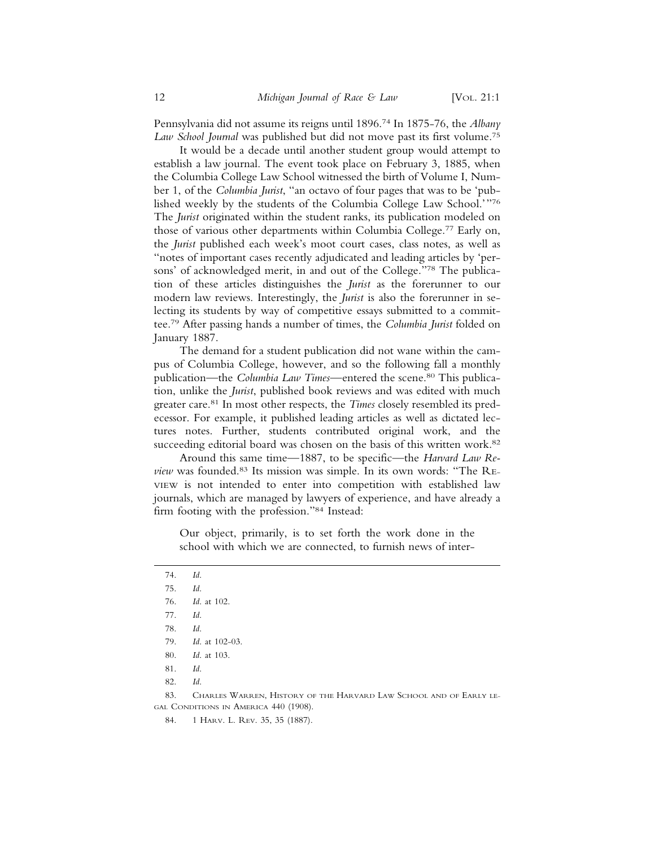Pennsylvania did not assume its reigns until 1896.74 In 1875-76, the *Albany Law School Journal* was published but did not move past its first volume.75

It would be a decade until another student group would attempt to establish a law journal. The event took place on February 3, 1885, when the Columbia College Law School witnessed the birth of Volume I, Number 1, of the *Columbia Jurist*, "an octavo of four pages that was to be 'published weekly by the students of the Columbia College Law School.'"76 The *Jurist* originated within the student ranks, its publication modeled on those of various other departments within Columbia College.77 Early on, the *Jurist* published each week's moot court cases, class notes, as well as "notes of important cases recently adjudicated and leading articles by 'persons' of acknowledged merit, in and out of the College."78 The publication of these articles distinguishes the *Jurist* as the forerunner to our modern law reviews. Interestingly, the *Jurist* is also the forerunner in selecting its students by way of competitive essays submitted to a committee.79 After passing hands a number of times, the *Columbia Jurist* folded on January 1887.

The demand for a student publication did not wane within the campus of Columbia College, however, and so the following fall a monthly publication—the *Columbia Law Times*—entered the scene.<sup>80</sup> This publication, unlike the *Jurist*, published book reviews and was edited with much greater care.81 In most other respects, the *Times* closely resembled its predecessor. For example, it published leading articles as well as dictated lectures notes. Further, students contributed original work, and the succeeding editorial board was chosen on the basis of this written work.<sup>82</sup>

Around this same time—1887, to be specific—the *Harvard Law Review* was founded.83 Its mission was simple. In its own words: "The RE-VIEW is not intended to enter into competition with established law journals, which are managed by lawyers of experience, and have already a firm footing with the profession."84 Instead:

Our object, primarily, is to set forth the work done in the school with which we are connected, to furnish news of inter-

| 74.                                   | Id.                                                                |  |
|---------------------------------------|--------------------------------------------------------------------|--|
| 75.                                   | Id.                                                                |  |
| 76.                                   | <i>Id.</i> at 102.                                                 |  |
| 77.                                   | Id.                                                                |  |
| 78.                                   | Id.                                                                |  |
| 79.                                   | <i>Id.</i> at $102-03$ .                                           |  |
| 80.                                   | <i>Id.</i> at 103.                                                 |  |
| 81.                                   | Id.                                                                |  |
| 82.                                   | Id.                                                                |  |
| 83.                                   | CHARLES WARREN, HISTORY OF THE HARVARD LAW SCHOOL AND OF EARLY LE- |  |
| gal Conditions in America 440 (1908). |                                                                    |  |

84. 1 HARV. L. REV. 35, 35 (1887).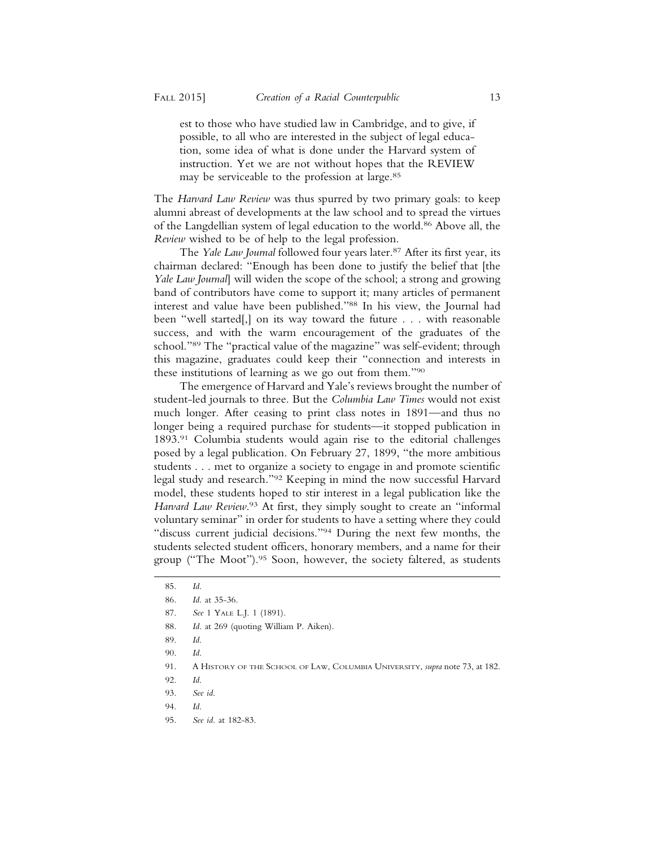est to those who have studied law in Cambridge, and to give, if possible, to all who are interested in the subject of legal education, some idea of what is done under the Harvard system of instruction. Yet we are not without hopes that the REVIEW may be serviceable to the profession at large.85

The *Harvard Law Review* was thus spurred by two primary goals: to keep alumni abreast of developments at the law school and to spread the virtues of the Langdellian system of legal education to the world.<sup>86</sup> Above all, the *Review* wished to be of help to the legal profession.

The *Yale Law Journal* followed four years later.<sup>87</sup> After its first year, its chairman declared: "Enough has been done to justify the belief that [the *Yale Law Journal*] will widen the scope of the school; a strong and growing band of contributors have come to support it; many articles of permanent interest and value have been published."88 In his view, the Journal had been "well started[,] on its way toward the future . . . with reasonable success, and with the warm encouragement of the graduates of the school."89 The "practical value of the magazine" was self-evident; through this magazine, graduates could keep their "connection and interests in these institutions of learning as we go out from them."90

The emergence of Harvard and Yale's reviews brought the number of student-led journals to three. But the *Columbia Law Times* would not exist much longer. After ceasing to print class notes in 1891—and thus no longer being a required purchase for students—it stopped publication in 1893.91 Columbia students would again rise to the editorial challenges posed by a legal publication. On February 27, 1899, "the more ambitious students . . . met to organize a society to engage in and promote scientific legal study and research."92 Keeping in mind the now successful Harvard model, these students hoped to stir interest in a legal publication like the Harvard Law Review.<sup>93</sup> At first, they simply sought to create an "informal voluntary seminar" in order for students to have a setting where they could "discuss current judicial decisions."94 During the next few months, the students selected student officers, honorary members, and a name for their group ("The Moot").<sup>95</sup> Soon, however, the society faltered, as students

88. *Id*. at 269 (quoting William P. Aiken).

<sup>85.</sup> *Id*.

<sup>86.</sup> *Id*. at 35-36.

<sup>87.</sup> *See* 1 YALE L.J. 1 (1891).

<sup>89.</sup> *Id*.

<sup>90.</sup> *Id*.

<sup>91.</sup> A HISTORY OF THE SCHOOL OF LAW, COLUMBIA UNIVERSITY, *supra* note 73, at 182.

<sup>92.</sup> *Id*.

<sup>93.</sup> *See id*.

<sup>94.</sup> *Id*.

<sup>95.</sup> *See id*. at 182-83.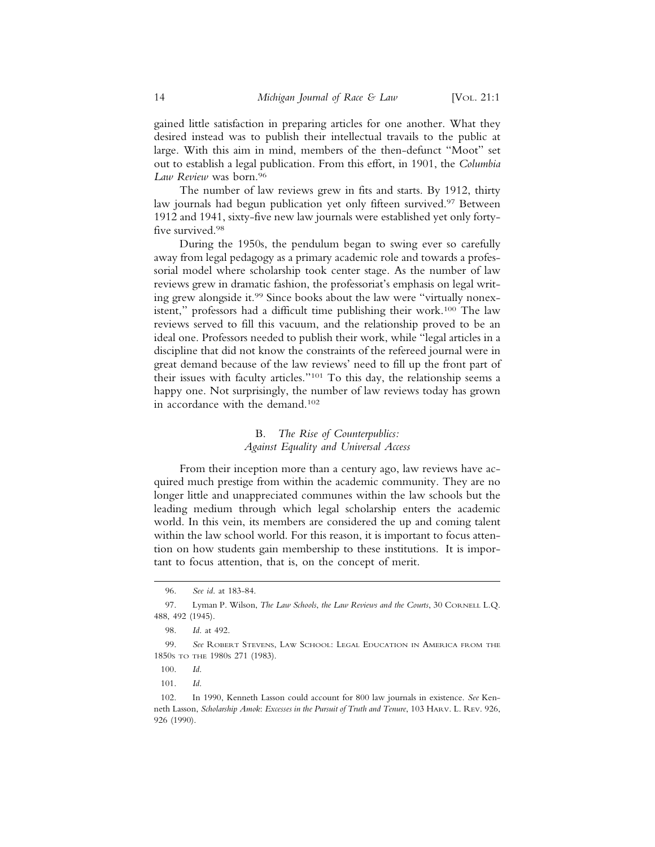gained little satisfaction in preparing articles for one another. What they desired instead was to publish their intellectual travails to the public at large. With this aim in mind, members of the then-defunct "Moot" set out to establish a legal publication. From this effort, in 1901, the *Columbia Law Review* was born.96

The number of law reviews grew in fits and starts. By 1912, thirty law journals had begun publication yet only fifteen survived.<sup>97</sup> Between 1912 and 1941, sixty-five new law journals were established yet only fortyfive survived.<sup>98</sup>

During the 1950s, the pendulum began to swing ever so carefully away from legal pedagogy as a primary academic role and towards a professorial model where scholarship took center stage. As the number of law reviews grew in dramatic fashion, the professoriat's emphasis on legal writing grew alongside it.99 Since books about the law were "virtually nonexistent," professors had a difficult time publishing their work.100 The law reviews served to fill this vacuum, and the relationship proved to be an ideal one. Professors needed to publish their work, while "legal articles in a discipline that did not know the constraints of the refereed journal were in great demand because of the law reviews' need to fill up the front part of their issues with faculty articles."101 To this day, the relationship seems a happy one. Not surprisingly, the number of law reviews today has grown in accordance with the demand.102

### B. *The Rise of Counterpublics: Against Equality and Universal Access*

From their inception more than a century ago, law reviews have acquired much prestige from within the academic community. They are no longer little and unappreciated communes within the law schools but the leading medium through which legal scholarship enters the academic world. In this vein, its members are considered the up and coming talent within the law school world. For this reason, it is important to focus attention on how students gain membership to these institutions. It is important to focus attention, that is, on the concept of merit.

<sup>96.</sup> *See id*. at 183-84.

<sup>97.</sup> Lyman P. Wilson, *The Law Schools*, *the Law Reviews and the Courts*, 30 CORNELL L.Q. 488, 492 (1945).

<sup>98.</sup> *Id*. at 492.

<sup>99.</sup> *See* ROBERT STEVENS, LAW SCHOOL: LEGAL EDUCATION IN AMERICA FROM THE 1850S TO THE 1980S 271 (1983).

<sup>100.</sup> *Id*.

<sup>101.</sup> *Id*.

<sup>102.</sup> In 1990, Kenneth Lasson could account for 800 law journals in existence. *See* Kenneth Lasson, *Scholarship Amok*: *Excesses in the Pursuit of Truth and Tenure*, 103 HARV. L. REV. 926, 926 (1990).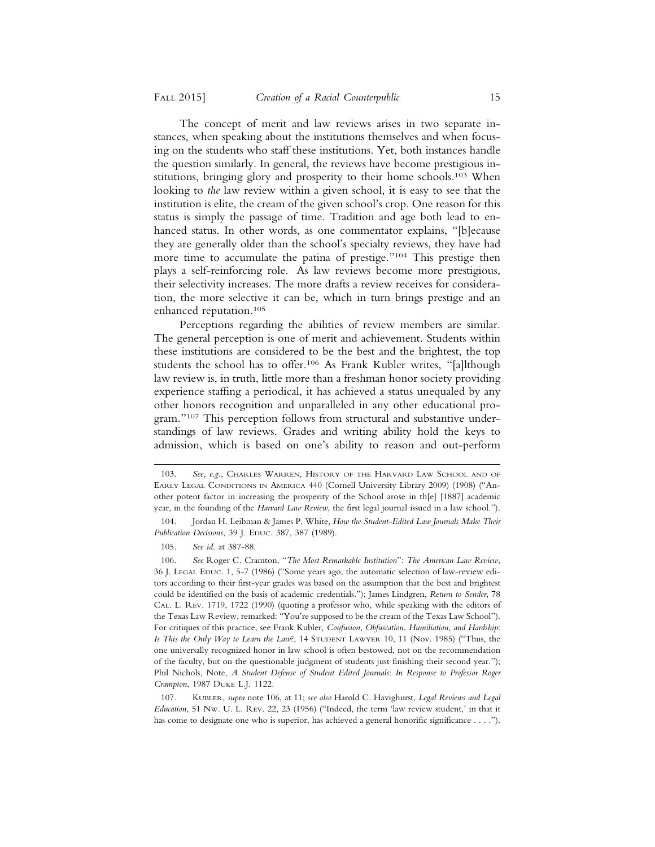The concept of merit and law reviews arises in two separate instances, when speaking about the institutions themselves and when focusing on the students who staff these institutions. Yet, both instances handle the question similarly. In general, the reviews have become prestigious institutions, bringing glory and prosperity to their home schools.103 When looking to *the* law review within a given school, it is easy to see that the institution is elite, the cream of the given school's crop. One reason for this status is simply the passage of time. Tradition and age both lead to enhanced status. In other words, as one commentator explains, "[b]ecause they are generally older than the school's specialty reviews, they have had more time to accumulate the patina of prestige."104 This prestige then plays a self-reinforcing role. As law reviews become more prestigious, their selectivity increases. The more drafts a review receives for consideration, the more selective it can be, which in turn brings prestige and an enhanced reputation.105

Perceptions regarding the abilities of review members are similar. The general perception is one of merit and achievement. Students within these institutions are considered to be the best and the brightest, the top students the school has to offer.106 As Frank Kubler writes, "[a]lthough law review is, in truth, little more than a freshman honor society providing experience staffing a periodical, it has achieved a status unequaled by any other honors recognition and unparalleled in any other educational program."107 This perception follows from structural and substantive understandings of law reviews. Grades and writing ability hold the keys to admission, which is based on one's ability to reason and out-perform

<sup>103.</sup> *See*, *e*.*g*., CHARLES WARREN, HISTORY OF THE HARVARD LAW SCHOOL AND OF EARLY LEGAL CONDITIONS IN AMERICA 440 (Cornell University Library 2009) (1908) ("Another potent factor in increasing the prosperity of the School arose in th[e] [1887] academic year, in the founding of the *Harvard Law Review*, the first legal journal issued in a law school.").

<sup>104.</sup> Jordan H. Leibman & James P. White, *How the Student*-*Edited Law Journals Make Their Publication Decisions*, 39 J. EDUC. 387, 387 (1989).

<sup>105.</sup> *See id*. at 387-88.

<sup>106.</sup> *See* Roger C. Cramton, "*The Most Remarkable Institution*": *The American Law Review*, 36 J. LEGAL EDUC. 1, 5-7 (1986) ("Some years ago, the automatic selection of law-review editors according to their first-year grades was based on the assumption that the best and brightest could be identified on the basis of academic credentials."); James Lindgren, *Return to Sender*, 78 CAL. L. REV. 1719, 1722 (1990) (quoting a professor who, while speaking with the editors of the Texas Law Review, remarked: "You're supposed to be the cream of the Texas Law School"). For critiques of this practice, see Frank Kubler, *Confusion*, *Obfuscation*, *Humiliation*, *and Hardship*: *Is This the Only Way to Learn the Law*?, 14 STUDENT LAWYER 10, 11 (Nov. 1985) ("Thus, the one universally recognized honor in law school is often bestowed, not on the recommendation of the faculty, but on the questionable judgment of students just finishing their second year."); Phil Nichols, Note, *A Student Defense of Student Edited Journals*: *In Response to Professor Roger Crampton*, 1987 DUKE L.J. 1122.

<sup>107.</sup> KUBLER, *supra* note 106, at 11; *see also* Harold C. Havighurst, *Legal Reviews and Legal Education*, 51 NW. U. L. REV. 22, 23 (1956) ("Indeed, the term 'law review student,' in that it has come to designate one who is superior, has achieved a general honorific significance . . . .").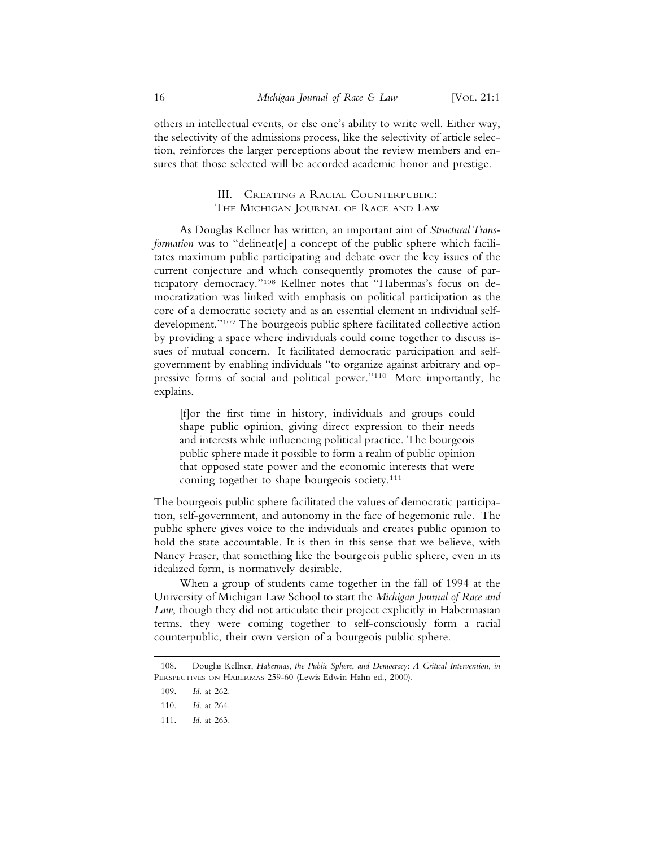others in intellectual events, or else one's ability to write well. Either way, the selectivity of the admissions process, like the selectivity of article selection, reinforces the larger perceptions about the review members and ensures that those selected will be accorded academic honor and prestige.

## III. CREATING A RACIAL COUNTERPUBLIC: THE MICHIGAN JOURNAL OF RACE AND LAW

As Douglas Kellner has written, an important aim of *Structural Transformation* was to "delineat[e] a concept of the public sphere which facilitates maximum public participating and debate over the key issues of the current conjecture and which consequently promotes the cause of participatory democracy."108 Kellner notes that "Habermas's focus on democratization was linked with emphasis on political participation as the core of a democratic society and as an essential element in individual selfdevelopment."109 The bourgeois public sphere facilitated collective action by providing a space where individuals could come together to discuss issues of mutual concern. It facilitated democratic participation and selfgovernment by enabling individuals "to organize against arbitrary and oppressive forms of social and political power."110 More importantly, he explains,

[f]or the first time in history, individuals and groups could shape public opinion, giving direct expression to their needs and interests while influencing political practice. The bourgeois public sphere made it possible to form a realm of public opinion that opposed state power and the economic interests that were coming together to shape bourgeois society.<sup>111</sup>

The bourgeois public sphere facilitated the values of democratic participation, self-government, and autonomy in the face of hegemonic rule. The public sphere gives voice to the individuals and creates public opinion to hold the state accountable. It is then in this sense that we believe, with Nancy Fraser, that something like the bourgeois public sphere, even in its idealized form, is normatively desirable.

When a group of students came together in the fall of 1994 at the University of Michigan Law School to start the *Michigan Journal of Race and Law*, though they did not articulate their project explicitly in Habermasian terms, they were coming together to self-consciously form a racial counterpublic, their own version of a bourgeois public sphere.

<sup>108.</sup> Douglas Kellner, *Habermas*, *the Public Sphere*, *and Democracy*: *A Critical Intervention*, *in* PERSPECTIVES ON HABERMAS 259-60 (Lewis Edwin Hahn ed., 2000).

<sup>109.</sup> *Id*. at 262.

<sup>110.</sup> *Id*. at 264.

<sup>111.</sup> *Id*. at 263.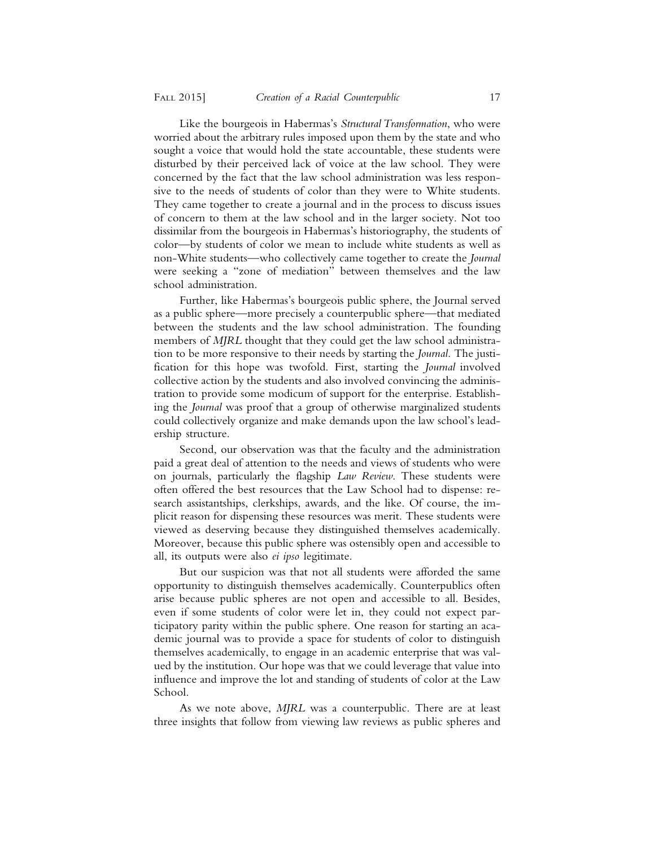Like the bourgeois in Habermas's *Structural Transformation*, who were worried about the arbitrary rules imposed upon them by the state and who sought a voice that would hold the state accountable, these students were disturbed by their perceived lack of voice at the law school. They were concerned by the fact that the law school administration was less responsive to the needs of students of color than they were to White students. They came together to create a journal and in the process to discuss issues of concern to them at the law school and in the larger society. Not too dissimilar from the bourgeois in Habermas's historiography, the students of color—by students of color we mean to include white students as well as non-White students—who collectively came together to create the *Journal* were seeking a "zone of mediation" between themselves and the law school administration.

Further, like Habermas's bourgeois public sphere, the Journal served as a public sphere—more precisely a counterpublic sphere—that mediated between the students and the law school administration. The founding members of *MJRL* thought that they could get the law school administration to be more responsive to their needs by starting the *Journal*. The justification for this hope was twofold. First, starting the *Journal* involved collective action by the students and also involved convincing the administration to provide some modicum of support for the enterprise. Establishing the *Journal* was proof that a group of otherwise marginalized students could collectively organize and make demands upon the law school's leadership structure.

Second, our observation was that the faculty and the administration paid a great deal of attention to the needs and views of students who were on journals, particularly the flagship *Law Review*. These students were often offered the best resources that the Law School had to dispense: research assistantships, clerkships, awards, and the like. Of course, the implicit reason for dispensing these resources was merit. These students were viewed as deserving because they distinguished themselves academically. Moreover, because this public sphere was ostensibly open and accessible to all, its outputs were also *ei ipso* legitimate.

But our suspicion was that not all students were afforded the same opportunity to distinguish themselves academically. Counterpublics often arise because public spheres are not open and accessible to all. Besides, even if some students of color were let in, they could not expect participatory parity within the public sphere. One reason for starting an academic journal was to provide a space for students of color to distinguish themselves academically, to engage in an academic enterprise that was valued by the institution. Our hope was that we could leverage that value into influence and improve the lot and standing of students of color at the Law School.

As we note above, *MJRL* was a counterpublic. There are at least three insights that follow from viewing law reviews as public spheres and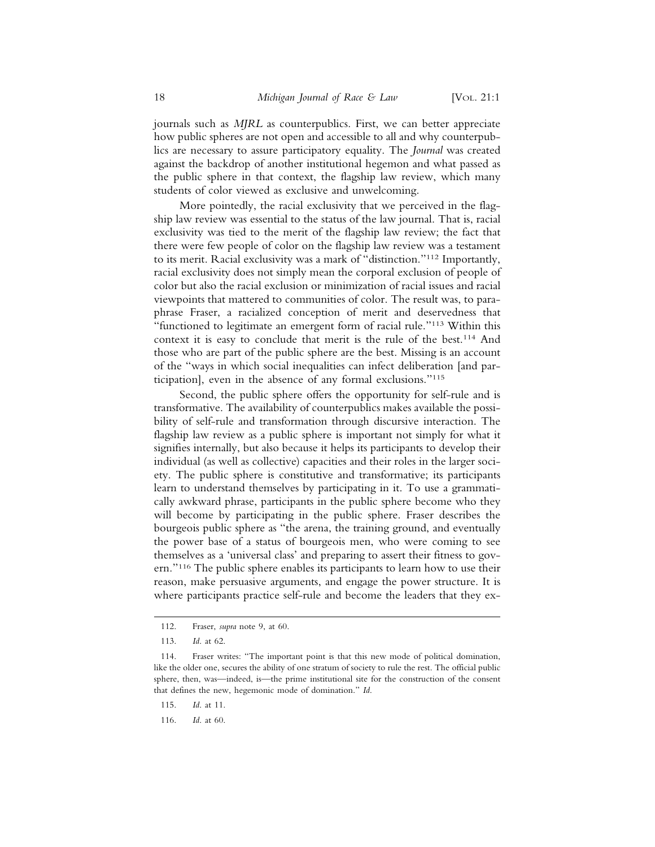journals such as *MJRL* as counterpublics. First, we can better appreciate how public spheres are not open and accessible to all and why counterpublics are necessary to assure participatory equality. The *Journal* was created against the backdrop of another institutional hegemon and what passed as the public sphere in that context, the flagship law review, which many students of color viewed as exclusive and unwelcoming.

More pointedly, the racial exclusivity that we perceived in the flagship law review was essential to the status of the law journal. That is, racial exclusivity was tied to the merit of the flagship law review; the fact that there were few people of color on the flagship law review was a testament to its merit. Racial exclusivity was a mark of "distinction."112 Importantly, racial exclusivity does not simply mean the corporal exclusion of people of color but also the racial exclusion or minimization of racial issues and racial viewpoints that mattered to communities of color. The result was, to paraphrase Fraser, a racialized conception of merit and deservedness that "functioned to legitimate an emergent form of racial rule."113 Within this context it is easy to conclude that merit is the rule of the best.114 And those who are part of the public sphere are the best. Missing is an account of the "ways in which social inequalities can infect deliberation [and participation], even in the absence of any formal exclusions."115

Second, the public sphere offers the opportunity for self-rule and is transformative. The availability of counterpublics makes available the possibility of self-rule and transformation through discursive interaction. The flagship law review as a public sphere is important not simply for what it signifies internally, but also because it helps its participants to develop their individual (as well as collective) capacities and their roles in the larger society. The public sphere is constitutive and transformative; its participants learn to understand themselves by participating in it. To use a grammatically awkward phrase, participants in the public sphere become who they will become by participating in the public sphere. Fraser describes the bourgeois public sphere as "the arena, the training ground, and eventually the power base of a status of bourgeois men, who were coming to see themselves as a 'universal class' and preparing to assert their fitness to govern."116 The public sphere enables its participants to learn how to use their reason, make persuasive arguments, and engage the power structure. It is where participants practice self-rule and become the leaders that they ex-

<sup>112.</sup> Fraser, *supra* note 9, at 60.

<sup>113.</sup> *Id*. at 62.

<sup>114.</sup> Fraser writes: "The important point is that this new mode of political domination, like the older one, secures the ability of one stratum of society to rule the rest. The official public sphere, then, was—indeed, is—the prime institutional site for the construction of the consent that defines the new, hegemonic mode of domination." *Id*.

<sup>115.</sup> *Id*. at 11.

<sup>116.</sup> *Id*. at 60.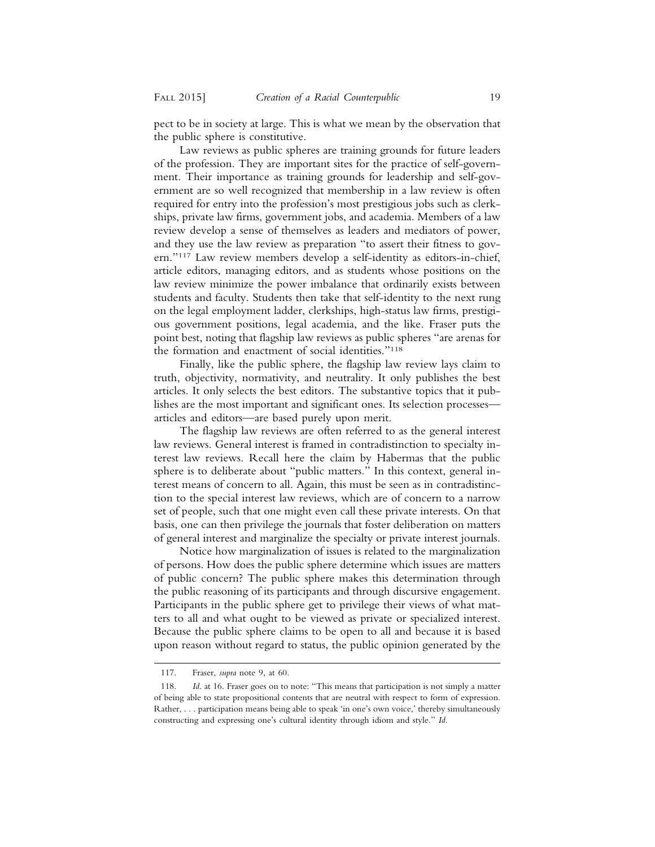pect to be in society at large. This is what we mean by the observation that the public sphere is constitutive.

Law reviews as public spheres are training grounds for future leaders of the profession. They are important sites for the practice of self-government. Their importance as training grounds for leadership and self-government are so well recognized that membership in a law review is often required for entry into the profession's most prestigious jobs such as clerkships, private law firms, government jobs, and academia. Members of a law review develop a sense of themselves as leaders and mediators of power, and they use the law review as preparation "to assert their fitness to govern."117 Law review members develop a self-identity as editors-in-chief, article editors, managing editors, and as students whose positions on the law review minimize the power imbalance that ordinarily exists between students and faculty. Students then take that self-identity to the next rung on the legal employment ladder, clerkships, high-status law firms, prestigious government positions, legal academia, and the like. Fraser puts the point best, noting that flagship law reviews as public spheres "are arenas for the formation and enactment of social identities."118

Finally, like the public sphere, the flagship law review lays claim to truth, objectivity, normativity, and neutrality. It only publishes the best articles. It only selects the best editors. The substantive topics that it publishes are the most important and significant ones. Its selection processes articles and editors—are based purely upon merit.

The flagship law reviews are often referred to as the general interest law reviews. General interest is framed in contradistinction to specialty interest law reviews. Recall here the claim by Habermas that the public sphere is to deliberate about "public matters." In this context, general interest means of concern to all. Again, this must be seen as in contradistinction to the special interest law reviews, which are of concern to a narrow set of people, such that one might even call these private interests. On that basis, one can then privilege the journals that foster deliberation on matters of general interest and marginalize the specialty or private interest journals.

Notice how marginalization of issues is related to the marginalization of persons. How does the public sphere determine which issues are matters of public concern? The public sphere makes this determination through the public reasoning of its participants and through discursive engagement. Participants in the public sphere get to privilege their views of what matters to all and what ought to be viewed as private or specialized interest. Because the public sphere claims to be open to all and because it is based upon reason without regard to status, the public opinion generated by the

<sup>117.</sup> Fraser, *supra* note 9, at 60.

<sup>118.</sup> *Id*. at 16. Fraser goes on to note: "This means that participation is not simply a matter of being able to state propositional contents that are neutral with respect to form of expression. Rather, . . . participation means being able to speak 'in one's own voice,' thereby simultaneously constructing and expressing one's cultural identity through idiom and style." *Id*.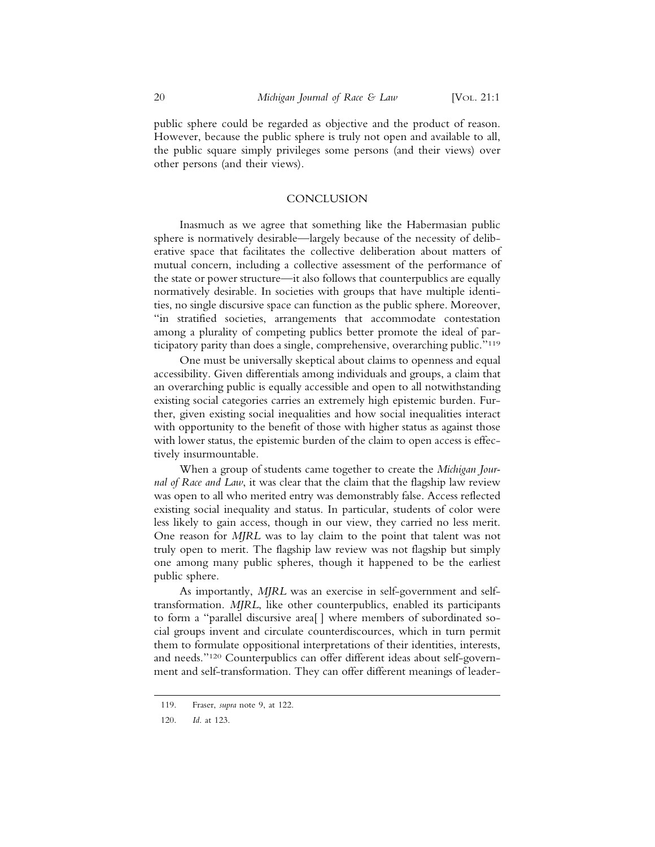public sphere could be regarded as objective and the product of reason. However, because the public sphere is truly not open and available to all, the public square simply privileges some persons (and their views) over other persons (and their views).

#### **CONCLUSION**

Inasmuch as we agree that something like the Habermasian public sphere is normatively desirable—largely because of the necessity of deliberative space that facilitates the collective deliberation about matters of mutual concern, including a collective assessment of the performance of the state or power structure—it also follows that counterpublics are equally normatively desirable. In societies with groups that have multiple identities, no single discursive space can function as the public sphere. Moreover, "in stratified societies, arrangements that accommodate contestation among a plurality of competing publics better promote the ideal of participatory parity than does a single, comprehensive, overarching public."119

One must be universally skeptical about claims to openness and equal accessibility. Given differentials among individuals and groups, a claim that an overarching public is equally accessible and open to all notwithstanding existing social categories carries an extremely high epistemic burden. Further, given existing social inequalities and how social inequalities interact with opportunity to the benefit of those with higher status as against those with lower status, the epistemic burden of the claim to open access is effectively insurmountable.

When a group of students came together to create the *Michigan Journal of Race and Law*, it was clear that the claim that the flagship law review was open to all who merited entry was demonstrably false. Access reflected existing social inequality and status. In particular, students of color were less likely to gain access, though in our view, they carried no less merit. One reason for *MJRL* was to lay claim to the point that talent was not truly open to merit. The flagship law review was not flagship but simply one among many public spheres, though it happened to be the earliest public sphere.

As importantly, *MJRL* was an exercise in self-government and selftransformation. *MJRL*, like other counterpublics, enabled its participants to form a "parallel discursive area[ ] where members of subordinated social groups invent and circulate counterdiscources, which in turn permit them to formulate oppositional interpretations of their identities, interests, and needs."120 Counterpublics can offer different ideas about self-government and self-transformation. They can offer different meanings of leader-

<sup>119.</sup> Fraser, *supra* note 9, at 122.

<sup>120.</sup> *Id*. at 123.